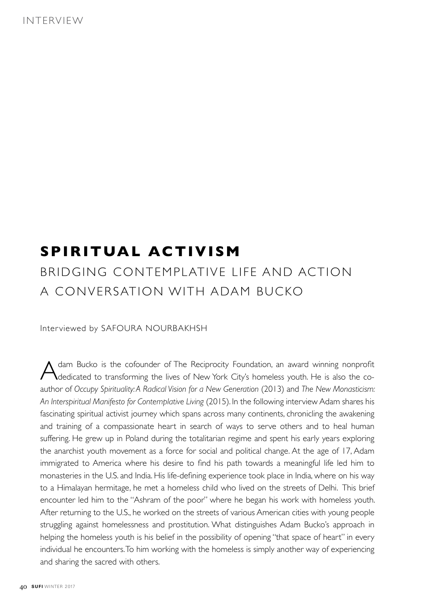## **SPIRITUAL ACTIVISM**

## BRIDGING CONTEMPLATIVE LIFE AND ACTION A CONVERSATION WITH ADAM BUCKO

Interviewed by SAFOURA NOURBAKHSH

Adam Bucko is the cofounder of The Reciprocity Foundation, an award winning nonprofit<br>Adedicated to transforming the lives of New York City's homeless youth. He is also the coauthor of Occupy Spirituality: A Radical Vision for a New Generation (2013) and The New Monasticism: An Interspiritual Manifesto for Contemplative Living (2015). In the following interview Adam shares his fascinating spiritual activist journey which spans across many continents, chronicling the awakening and training of a compassionate heart in search of ways to serve others and to heal human suffering. He grew up in Poland during the totalitarian regime and spent his early years exploring the anarchist youth movement as a force for social and political change. At the age of 17, Adam immigrated to America where his desire to find his path towards a meaningful life led him to monasteries in the U.S. and India. His life-defining experience took place in India, where on his way to a Himalayan hermitage, he met a homeless child who lived on the streets of Delhi. This brief encounter led him to the "Ashram of the poor" where he began his work with homeless youth. After returning to the U.S., he worked on the streets of various American cities with young people struggling against homelessness and prostitution. What distinguishes Adam Bucko's approach in helping the homeless youth is his belief in the possibility of opening "that space of heart" in every individual he encounters. To him working with the homeless is simply another way of experiencing and sharing the sacred with others.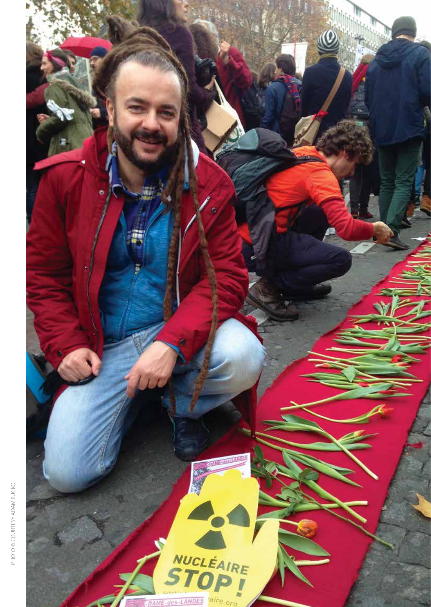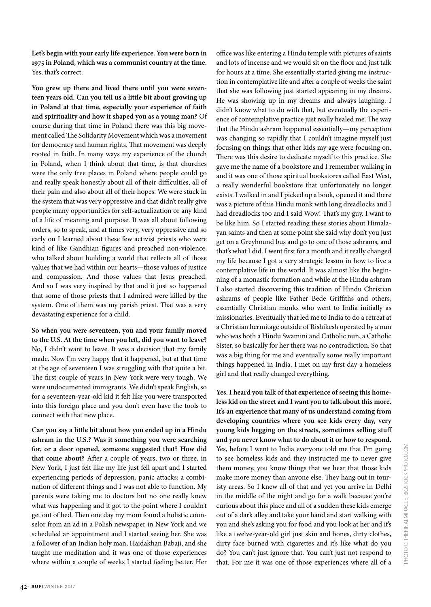**Let's begin with your early life experience. You were born in 1975 in Poland, which was a communist country at the time.** Yes, that's correct.

**You grew up there and lived there until you were seventeen years old. Can you tell us a little bit about growing up in Poland at that time, especially your experience of faith and spirituality and how it shaped you as a young man?** Of course during that time in Poland there was this big movement called The Solidarity Movement which was a movement for democracy and human rights. That movement was deeply rooted in faith. In many ways my experience of the church in Poland, when I think about that time, is that churches were the only free places in Poland where people could go and really speak honestly about all of their difficulties, all of their pain and also about all of their hopes. We were stuck in the system that was very oppressive and that didn't really give people many opportunities for self-actualization or any kind of a life of meaning and purpose. It was all about following orders, so to speak, and at times very, very oppressive and so early on I learned about these few activist priests who were kind of like Gandhian figures and preached non-violence, who talked about building a world that reflects all of those values that we had within our hearts—those values of justice and compassion. And those values that Jesus preached. And so I was very inspired by that and it just so happened that some of those priests that I admired were killed by the system. One of them was my parish priest. That was a very devastating experience for a child.

**So when you were seventeen, you and your family moved to the U.S. At the time when you le%, did you want to leave?** No, I didn't want to leave. It was a decision that my family made. Now I'm very happy that it happened, but at that time at the age of seventeen I was struggling with that quite a bit. The first couple of years in New York were very tough. We were undocumented immigrants. We didn't speak English, so for a seventeen-year-old kid it felt like you were transported into this foreign place and you don't even have the tools to connect with that new place.

**Can you say a little bit about how you ended up in a Hindu ashram in the U.S.? Was it something you were searching for, or a door opened, someone suggested that? How did**  that come about? After a couple of years, two or three, in New York, I just felt like my life just fell apart and I started experiencing periods of depression, panic attacks; a combination of different things and I was not able to function. My parents were taking me to doctors but no one really knew what was happening and it got to the point where I couldn't get out of bed. Then one day my mom found a holistic counselor from an ad in a Polish newspaper in New York and we scheduled an appointment and I started seeing her. She was a follower of an Indian holy man, Haidakhan Babaji, and she taught me meditation and it was one of those experiences where within a couple of weeks I started feeling better. Her

office was like entering a Hindu temple with pictures of saints and lots of incense and we would sit on the floor and just talk for hours at a time. She essentially started giving me instruction in contemplative life and after a couple of weeks the saint that she was following just started appearing in my dreams. He was showing up in my dreams and always laughing. I didn't know what to do with that, but eventually the experience of contemplative practice just really healed me. The way that the Hindu ashram happened essentially—my perception was changing so rapidly that I couldn't imagine myself just focusing on things that other kids my age were focusing on. There was this desire to dedicate myself to this practice. She gave me the name of a bookstore and I remember walking in and it was one of those spiritual bookstores called East West, a really wonderful bookstore that unfortunately no longer exists. I walked in and I picked up a book, opened it and there was a picture of this Hindu monk with long dreadlocks and I had dreadlocks too and I said Wow! That's my guy. I want to be like him. So I started reading these stories about Himalayan saints and then at some point she said why don't you just get on a Greyhound bus and go to one of those ashrams, and that's what I did. I went first for a month and it really changed my life because I got a very strategic lesson in how to live a contemplative life in the world. It was almost like the beginning of a monastic formation and while at the Hindu ashram I also started discovering this tradition of Hindu Christian ashrams of people like Father Bede Griffiths and others, essentially Christian monks who went to India initially as missionaries. Eventually that led me to India to do a retreat at a Christian hermitage outside of Rishikesh operated by a nun who was both a Hindu Swamini and Catholic nun, a Catholic Sister, so basically for her there was no contradiction. So that was a big thing for me and eventually some really important things happened in India. I met on my first day a homeless girl and that really changed everything.

**Yes. I heard you talk of that experience of seeing this homeless kid on the street and I want you to talk about this more. It's an experience that many of us understand coming from developing countries where you see kids every day, very young kids begging on the streets, sometimes selling stu& and you never know what to do about it or how to respond.**  Yes, before I went to India everyone told me that I'm going to see homeless kids and they instructed me to never give them money, you know things that we hear that those kids make more money than anyone else. They hang out in touristy areas. So I knew all of that and yet you arrive in Delhi in the middle of the night and go for a walk because you're curious about this place and all of a sudden these kids emerge out of a dark alley and take your hand and start walking with you and she's asking you for food and you look at her and it's like a twelve-year-old girl just skin and bones, dirty clothes, dirty face burned with cigarettes and it's like what do you do? You can't just ignore that. You can't just not respond to that. For me it was one of those experiences where all of a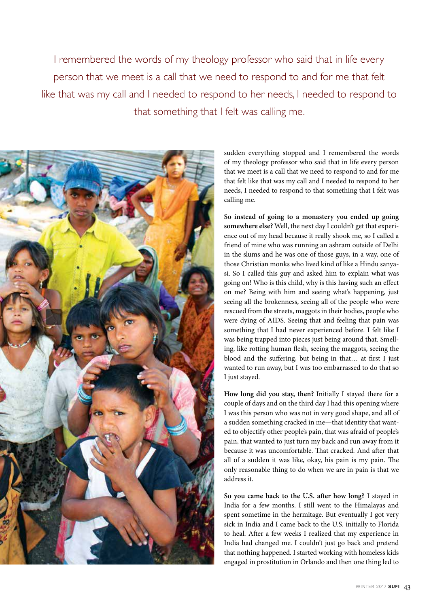I remembered the words of my theology professor who said that in life every person that we meet is a call that we need to respond to and for me that felt like that was my call and I needed to respond to her needs, I needed to respond to that something that I felt was calling me.



sudden everything stopped and I remembered the words of my theology professor who said that in life every person that we meet is a call that we need to respond to and for me that felt like that was my call and I needed to respond to her needs, I needed to respond to that something that I felt was calling me.

**So instead of going to a monastery you ended up going somewhere else?** Well, the next day I couldn't get that experience out of my head because it really shook me, so I called a friend of mine who was running an ashram outside of Delhi in the slums and he was one of those guys, in a way, one of those Christian monks who lived kind of like a Hindu sanyasi. So I called this guy and asked him to explain what was going on! Who is this child, why is this having such an effect on me? Being with him and seeing what's happening, just seeing all the brokenness, seeing all of the people who were rescued from the streets, maggots in their bodies, people who were dying of AIDS. Seeing that and feeling that pain was something that I had never experienced before. I felt like I was being trapped into pieces just being around that. Smelling, like rotting human flesh, seeing the maggots, seeing the blood and the suffering, but being in that... at first I just wanted to run away, but I was too embarrassed to do that so I just stayed.

**How long did you stay, then?** Initially I stayed there for a couple of days and on the third day I had this opening where I was this person who was not in very good shape, and all of a sudden something cracked in me—that identity that wanted to objectify other people's pain, that was afraid of people's pain, that wanted to just turn my back and run away from it because it was uncomfortable. That cracked. And after that all of a sudden it was like, okay, his pain is my pain. The only reasonable thing to do when we are in pain is that we address it.

**So you came back to the U.S. a%er how long?** I stayed in India for a few months. I still went to the Himalayas and spent sometime in the hermitage. But eventually I got very sick in India and I came back to the U.S. initially to Florida to heal. After a few weeks I realized that my experience in India had changed me. I couldn't just go back and pretend that nothing happened. I started working with homeless kids engaged in prostitution in Orlando and then one thing led to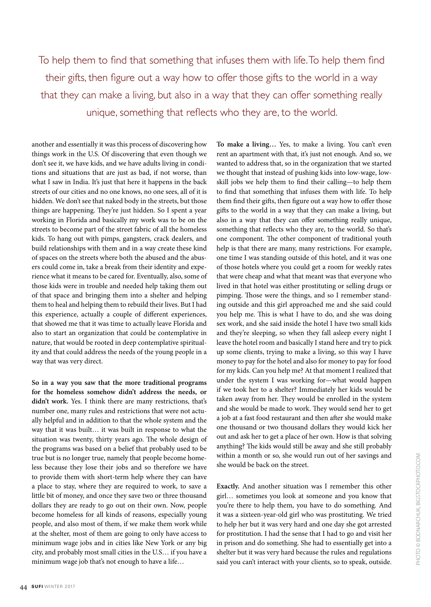To help them to find that something that infuses them with life. To help them find their gifts, then figure out a way how to offer those gifts to the world in a way that they can make a living, but also in a way that they can offer something really unique, something that reflects who they are, to the world.

another and essentially it was this process of discovering how things work in the U.S. Of discovering that even though we don't see it, we have kids, and we have adults living in conditions and situations that are just as bad, if not worse, than what I saw in India. It's just that here it happens in the back streets of our cities and no one knows, no one sees, all of it is hidden. We don't see that naked body in the streets, but those things are happening. They're just hidden. So I spent a year working in Florida and basically my work was to be on the streets to become part of the street fabric of all the homeless kids. To hang out with pimps, gangsters, crack dealers, and build relationships with them and in a way create these kind of spaces on the streets where both the abused and the abusers could come in, take a break from their identity and experience what it means to be cared for. Eventually, also, some of those kids were in trouble and needed help taking them out of that space and bringing them into a shelter and helping them to heal and helping them to rebuild their lives. But I had this experience, actually a couple of different experiences, that showed me that it was time to actually leave Florida and also to start an organization that could be contemplative in nature, that would be rooted in deep contemplative spirituality and that could address the needs of the young people in a way that was very direct.

**So in a way you saw that the more traditional programs for the homeless somehow didn't address the needs, or didn't work.** Yes. I think there are many restrictions, that's number one, many rules and restrictions that were not actually helpful and in addition to that the whole system and the way that it was built… it was built in response to what the situation was twenty, thirty years ago. The whole design of the programs was based on a belief that probably used to be true but is no longer true, namely that people become homeless because they lose their jobs and so therefore we have to provide them with short-term help where they can have a place to stay, where they are required to work, to save a little bit of money, and once they save two or three thousand dollars they are ready to go out on their own. Now, people become homeless for all kinds of reasons, especially young people, and also most of them, if we make them work while at the shelter, most of them are going to only have access to minimum wage jobs and in cities like New York or any big city, and probably most small cities in the U.S… if you have a minimum wage job that's not enough to have a life…

rent an apartment with that, it's just not enough. And so, we wanted to address that, so in the organization that we started we thought that instead of pushing kids into low-wage, lowskill jobs we help them to find their calling-to help them to find that something that infuses them with life. To help them find their gifts, then figure out a way how to offer those gifts to the world in a way that they can make a living, but also in a way that they can offer something really unique, something that reflects who they are, to the world. So that's one component. The other component of traditional youth help is that there are many, many restrictions. For example, one time I was standing outside of this hotel, and it was one of those hotels where you could get a room for weekly rates that were cheap and what that meant was that everyone who lived in that hotel was either prostituting or selling drugs or pimping. Those were the things, and so I remember standing outside and this girl approached me and she said could you help me. This is what I have to do, and she was doing sex work, and she said inside the hotel I have two small kids and they're sleeping, so when they fall asleep every night I leave the hotel room and basically I stand here and try to pick up some clients, trying to make a living, so this way I have money to pay for the hotel and also for money to pay for food for my kids. Can you help me? At that moment I realized that under the system I was working for—what would happen if we took her to a shelter? Immediately her kids would be taken away from her. They would be enrolled in the system and she would be made to work. They would send her to get a job at a fast food restaurant and then after she would make one thousand or two thousand dollars they would kick her out and ask her to get a place of her own. How is that solving anything? The kids would still be away and she still probably within a month or so, she would run out of her savings and she would be back on the street.

**To make a living…** Yes, to make a living. You can't even

**Exactly.** And another situation was I remember this other girl… sometimes you look at someone and you know that you're there to help them, you have to do something. And it was a sixteen-year-old girl who was prostituting. We tried to help her but it was very hard and one day she got arrested for prostitution. I had the sense that I had to go and visit her in prison and do something. She had to essentially get into a shelter but it was very hard because the rules and regulations said you can't interact with your clients, so to speak, outside.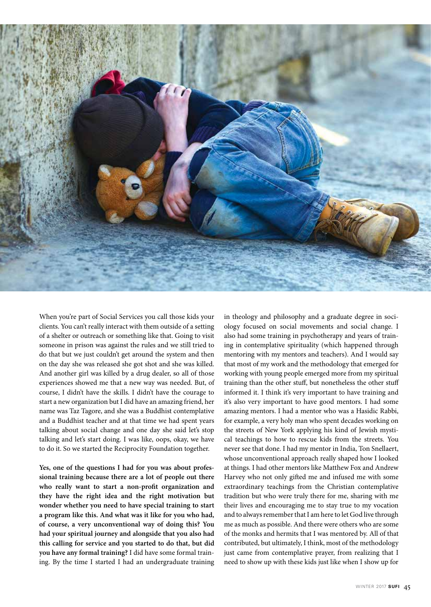

When you're part of Social Services you call those kids your clients. You can't really interact with them outside of a setting of a shelter or outreach or something like that. Going to visit someone in prison was against the rules and we still tried to do that but we just couldn't get around the system and then on the day she was released she got shot and she was killed. And another girl was killed by a drug dealer, so all of those experiences showed me that a new way was needed. But, of course, I didn't have the skills. I didn't have the courage to start a new organization but I did have an amazing friend, her name was Taz Tagore, and she was a Buddhist contemplative and a Buddhist teacher and at that time we had spent years talking about social change and one day she said let's stop talking and let's start doing. I was like, oops, okay, we have to do it. So we started the Reciprocity Foundation together.

**Yes, one of the questions I had for you was about professional training because there are a lot of people out there who really want to start a non-pro't organization and they have the right idea and the right motivation but wonder whether you need to have special training to start a program like this. And what was it like for you who had, of course, a very unconventional way of doing this? You had your spiritual journey and alongside that you also had this calling for service and you started to do that, but did you have any formal training?** I did have some formal training. By the time I started I had an undergraduate training

in theology and philosophy and a graduate degree in sociology focused on social movements and social change. I also had some training in psychotherapy and years of training in contemplative spirituality (which happened through mentoring with my mentors and teachers). And I would say that most of my work and the methodology that emerged for working with young people emerged more from my spiritual training than the other stuff, but nonetheless the other stuff informed it. I think it's very important to have training and it's also very important to have good mentors. I had some amazing mentors. I had a mentor who was a Hasidic Rabbi, for example, a very holy man who spent decades working on the streets of New York applying his kind of Jewish mystical teachings to how to rescue kids from the streets. You never see that done. I had my mentor in India, Ton Snellaert, whose unconventional approach really shaped how I looked at things. I had other mentors like Matthew Fox and Andrew Harvey who not only gifted me and infused me with some extraordinary teachings from the Christian contemplative tradition but who were truly there for me, sharing with me their lives and encouraging me to stay true to my vocation and to always remember that I am here to let God live through me as much as possible. And there were others who are some of the monks and hermits that I was mentored by. All of that contributed, but ultimately, I think, most of the methodology just came from contemplative prayer, from realizing that I need to show up with these kids just like when I show up for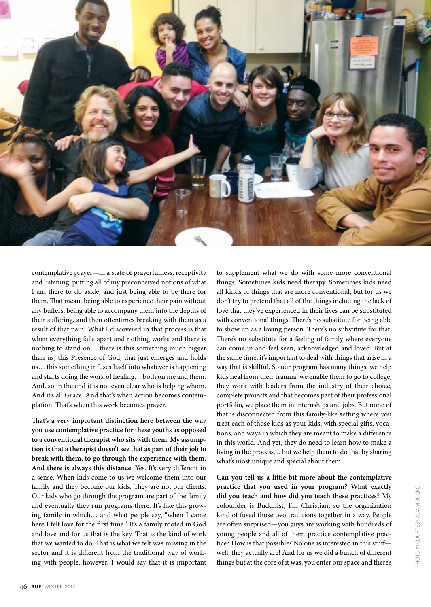

contemplative prayer—in a state of prayerfulness, receptivity and listening, putting all of my preconceived notions of what I am there to do aside, and just being able to be there for them. That meant being able to experience their pain without any buffers, being able to accompany them into the depths of their suffering, and then oftentimes breaking with them as a result of that pain. What I discovered in that process is that when everything falls apart and nothing works and there is nothing to stand on… there is this something much bigger than us, this Presence of God, that just emerges and holds us… this something infuses Itself into whatever is happening and starts doing the work of healing… both on me and them. And, so in the end it is not even clear who is helping whom. And it's all Grace. And that's when action becomes contemplation. That's when this work becomes prayer.

**(at's a very important distinction here between the way you use contemplative practice for these youths as opposed to a conventional therapist who sits with them. My assumption is that a therapist doesn't see that as part of their job to break with them, to go through the experience with them.**  And there is always this distance. Yes. It's very different in a sense. When kids come to us we welcome them into our family and they become our kids. They are not our clients. Our kids who go through the program are part of the family and eventually they run programs there. It's like this growing family in which… and what people say, "when I came here I felt love for the first time." It's a family rooted in God and love and for us that is the key. That is the kind of work that we wanted to do. That is what we felt was missing in the sector and it is different from the traditional way of working with people, however, I would say that it is important to supplement what we do with some more conventional things. Sometimes kids need therapy. Sometimes kids need all kinds of things that are more conventional, but for us we don't try to pretend that all of the things including the lack of love that they've experienced in their lives can be substituted with conventional things. There's no substitute for being able to show up as a loving person. There's no substitute for that. There's no substitute for a feeling of family where everyone can come in and feel seen, acknowledged and loved. But at the same time, it's important to deal with things that arise in a way that is skillful. So our program has many things, we help kids heal from their trauma, we enable them to go to college, they work with leaders from the industry of their choice, complete projects and that becomes part of their professional portfolio, we place them in internships and jobs. But none of that is disconnected from this family-like setting where you treat each of those kids as your kids, with special gifts, vocations, and ways in which they are meant to make a difference in this world. And yet, they do need to learn how to make a living in the process… but we help them to do that by sharing what's most unique and special about them.

**Can you tell us a little bit more about the contemplative practice that you used in your program? What exactly did you teach and how did you teach these practices?** My cofounder is Buddhist, I'm Christian, so the organization kind of fused those two traditions together in a way. People are often surprised—you guys are working with hundreds of young people and all of them practice contemplative practice? How is that possible? No one is interested in this stuffwell, they actually are! And for us we did a bunch of different things but at the core of it was, you enter our space and there's